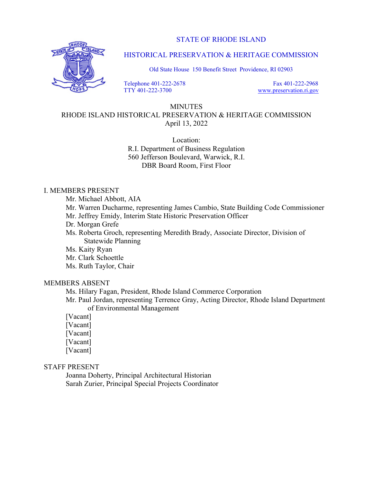STATE OF RHODE ISLAND



HISTORICAL PRESERVATION & HERITAGE COMMISSION

Old State House 150 Benefit Street Providence, RI 02903

 Telephone 401-222-2678 TTY 401-222-3700

 Fax 401-222-2968 www.preservation.ri.gov

### MINUTES

# RHODE ISLAND HISTORICAL PRESERVATION & HERITAGE COMMISSION April 13, 2022

Location: R.I. Department of Business Regulation 560 Jefferson Boulevard, Warwick, R.I. DBR Board Room, First Floor

## I. MEMBERS PRESENT

Mr. Michael Abbott, AIA

 Mr. Warren Ducharme, representing James Cambio, State Building Code Commissioner Mr. Jeffrey Emidy, Interim State Historic Preservation Officer

Dr. Morgan Grefe

 Ms. Roberta Groch, representing Meredith Brady, Associate Director, Division of Statewide Planning

Ms. Kaity Ryan

Mr. Clark Schoettle

Ms. Ruth Taylor, Chair

## MEMBERS ABSENT

Ms. Hilary Fagan, President, Rhode Island Commerce Corporation

 Mr. Paul Jordan, representing Terrence Gray, Acting Director, Rhode Island Department of Environmental Management

[Vacant]

[Vacant]

[Vacant]

[Vacant]

[Vacant]

#### STAFF PRESENT

 Joanna Doherty, Principal Architectural Historian Sarah Zurier, Principal Special Projects Coordinator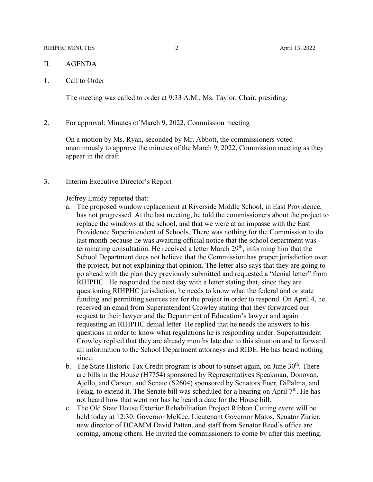#### RIHPHC MINUTES 2 April 13, 2022

- II. AGENDA
- 1. Call to Order

The meeting was called to order at 9:33 A.M., Ms. Taylor, Chair, presiding.

2. For approval: Minutes of March 9, 2022, Commission meeting

On a motion by Ms. Ryan, seconded by Mr. Abbott, the commissioners voted unanimously to approve the minutes of the March 9, 2022, Commission meeting as they appear in the draft.

3. Interim Executive Director's Report

Jeffrey Emidy reported that:

- a. The proposed window replacement at Riverside Middle School, in East Providence, has not progressed. At the last meeting, he told the commissioners about the project to replace the windows at the school, and that we were at an impasse with the East Providence Superintendent of Schools. There was nothing for the Commission to do last month because he was awaiting official notice that the school department was terminating consultation. He received a letter March 29<sup>th</sup>, informing him that the School Department does not believe that the Commission has proper jurisdiction over the project, but not explaining that opinion. The letter also says that they are going to go ahead with the plan they previously submitted and requested a "denial letter" from RIHPHC . He responded the next day with a letter stating that, since they are questioning RIHPHC jurisdiction, he needs to know what the federal and or state funding and permitting sources are for the project in order to respond. On April 4, he received an email from Superintendent Crowley stating that they forwarded our request to their lawyer and the Department of Education's lawyer and again requesting an RIHPHC denial letter. He replied that he needs the answers to his questions in order to know what regulations he is responding under. Superintendent Crowley replied that they are already months late due to this situation and to forward all information to the School Department attorneys and RIDE. He has heard nothing since.
- b. The State Historic Tax Credit program is about to sunset again, on June  $30<sup>th</sup>$ . There are bills in the House (H7754) sponsored by Representatives Speakman, Donovan, Ajello, and Carson, and Senate (S2604) sponsored by Senators Euer, DiPalma, and Felag, to extend it. The Senate bill was scheduled for a hearing on April  $7<sup>th</sup>$ . He has not heard how that went nor has he heard a date for the House bill.
- c. The Old State House Exterior Rehabilitation Project Ribbon Cutting event will be held today at 12:30. Governor McKee, Lieutenant Governor Matos, Senator Zurier, new director of DCAMM David Patten, and staff from Senator Reed's office are coming, among others. He invited the commissioners to come by after this meeting.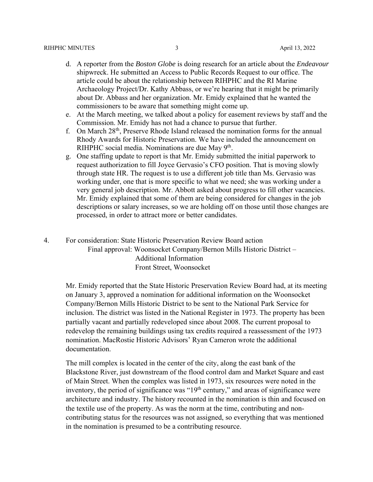- d. A reporter from the *Boston Globe* is doing research for an article about the *Endeavour* shipwreck. He submitted an Access to Public Records Request to our office. The article could be about the relationship between RIHPHC and the RI Marine Archaeology Project/Dr. Kathy Abbass, or we're hearing that it might be primarily about Dr. Abbass and her organization. Mr. Emidy explained that he wanted the commissioners to be aware that something might come up.
- e. At the March meeting, we talked about a policy for easement reviews by staff and the Commission. Mr. Emidy has not had a chance to pursue that further.
- f. On March 28th, Preserve Rhode Island released the nomination forms for the annual Rhody Awards for Historic Preservation. We have included the announcement on RIHPHC social media. Nominations are due May  $9<sup>th</sup>$ .
- g. One staffing update to report is that Mr. Emidy submitted the initial paperwork to request authorization to fill Joyce Gervasio's CFO position. That is moving slowly through state HR. The request is to use a different job title than Ms. Gervasio was working under, one that is more specific to what we need; she was working under a very general job description. Mr. Abbott asked about progress to fill other vacancies. Mr. Emidy explained that some of them are being considered for changes in the job descriptions or salary increases, so we are holding off on those until those changes are processed, in order to attract more or better candidates.
- 4. For consideration: State Historic Preservation Review Board action Final approval: Woonsocket Company/Bernon Mills Historic District – Additional Information Front Street, Woonsocket

Mr. Emidy reported that the State Historic Preservation Review Board had, at its meeting on January 3, approved a nomination for additional information on the Woonsocket Company/Bernon Mills Historic District to be sent to the National Park Service for inclusion. The district was listed in the National Register in 1973. The property has been partially vacant and partially redeveloped since about 2008. The current proposal to redevelop the remaining buildings using tax credits required a reassessment of the 1973 nomination. MacRostie Historic Advisors' Ryan Cameron wrote the additional documentation.

The mill complex is located in the center of the city, along the east bank of the Blackstone River, just downstream of the flood control dam and Market Square and east of Main Street. When the complex was listed in 1973, six resources were noted in the inventory, the period of significance was " $19<sup>th</sup>$  century," and areas of significance were architecture and industry. The history recounted in the nomination is thin and focused on the textile use of the property. As was the norm at the time, contributing and noncontributing status for the resources was not assigned, so everything that was mentioned in the nomination is presumed to be a contributing resource.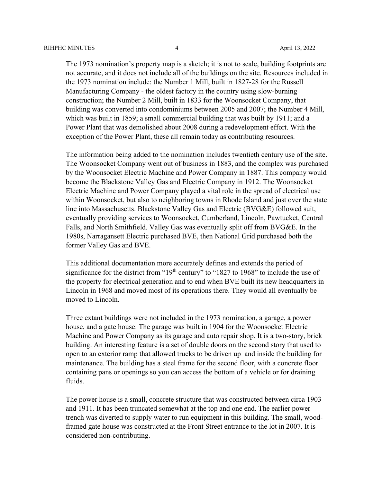The 1973 nomination's property map is a sketch; it is not to scale, building footprints are not accurate, and it does not include all of the buildings on the site. Resources included in the 1973 nomination include: the Number 1 Mill, built in 1827-28 for the Russell Manufacturing Company - the oldest factory in the country using slow-burning construction; the Number 2 Mill, built in 1833 for the Woonsocket Company, that building was converted into condominiums between 2005 and 2007; the Number 4 Mill, which was built in 1859; a small commercial building that was built by 1911; and a Power Plant that was demolished about 2008 during a redevelopment effort. With the exception of the Power Plant, these all remain today as contributing resources.

The information being added to the nomination includes twentieth century use of the site. The Woonsocket Company went out of business in 1883, and the complex was purchased by the Woonsocket Electric Machine and Power Company in 1887. This company would become the Blackstone Valley Gas and Electric Company in 1912. The Woonsocket Electric Machine and Power Company played a vital role in the spread of electrical use within Woonsocket, but also to neighboring towns in Rhode Island and just over the state line into Massachusetts. Blackstone Valley Gas and Electric (BVG&E) followed suit, eventually providing services to Woonsocket, Cumberland, Lincoln, Pawtucket, Central Falls, and North Smithfield. Valley Gas was eventually split off from BVG&E. In the 1980s, Narragansett Electric purchased BVE, then National Grid purchased both the former Valley Gas and BVE.

This additional documentation more accurately defines and extends the period of significance for the district from " $19<sup>th</sup>$  century" to " $1827$  to  $1968$ " to include the use of the property for electrical generation and to end when BVE built its new headquarters in Lincoln in 1968 and moved most of its operations there. They would all eventually be moved to Lincoln.

Three extant buildings were not included in the 1973 nomination, a garage, a power house, and a gate house. The garage was built in 1904 for the Woonsocket Electric Machine and Power Company as its garage and auto repair shop. It is a two-story, brick building. An interesting feature is a set of double doors on the second story that used to open to an exterior ramp that allowed trucks to be driven up and inside the building for maintenance. The building has a steel frame for the second floor, with a concrete floor containing pans or openings so you can access the bottom of a vehicle or for draining fluids.

The power house is a small, concrete structure that was constructed between circa 1903 and 1911. It has been truncated somewhat at the top and one end. The earlier power trench was diverted to supply water to run equipment in this building. The small, woodframed gate house was constructed at the Front Street entrance to the lot in 2007. It is considered non-contributing.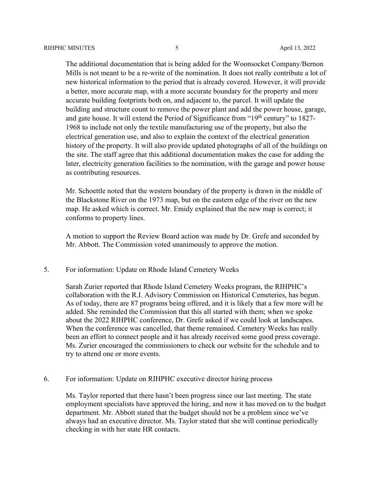The additional documentation that is being added for the Woonsocket Company/Bernon Mills is not meant to be a re-write of the nomination. It does not really contribute a lot of new historical information to the period that is already covered. However, it will provide a better, more accurate map, with a more accurate boundary for the property and more accurate building footprints both on, and adjacent to, the parcel. It will update the building and structure count to remove the power plant and add the power house, garage, and gate house. It will extend the Period of Significance from "19<sup>th</sup> century" to 1827-1968 to include not only the textile manufacturing use of the property, but also the electrical generation use, and also to explain the context of the electrical generation history of the property. It will also provide updated photographs of all of the buildings on the site. The staff agree that this additional documentation makes the case for adding the later, electricity generation facilities to the nomination, with the garage and power house as contributing resources.

Mr. Schoettle noted that the western boundary of the property is drawn in the middle of the Blackstone River on the 1973 map, but on the eastern edge of the river on the new map. He asked which is correct. Mr. Emidy explained that the new map is correct; it conforms to property lines.

A motion to support the Review Board action was made by Dr. Grefe and seconded by Mr. Abbott. The Commission voted unanimously to approve the motion.

5. For information: Update on Rhode Island Cemetery Weeks

Sarah Zurier reported that Rhode Island Cemetery Weeks program, the RIHPHC's collaboration with the R.I. Advisory Commission on Historical Cemeteries, has begun. As of today, there are 87 programs being offered, and it is likely that a few more will be added. She reminded the Commission that this all started with them; when we spoke about the 2022 RIHPHC conference, Dr. Grefe asked if we could look at landscapes. When the conference was cancelled, that theme remained. Cemetery Weeks has really been an effort to connect people and it has already received some good press coverage. Ms. Zurier encouraged the commissioners to check our website for the schedule and to try to attend one or more events.

6. For information: Update on RIHPHC executive director hiring process

Ms. Taylor reported that there hasn't been progress since our last meeting. The state employment specialists have approved the hiring, and now it has moved on to the budget department. Mr. Abbott stated that the budget should not be a problem since we've always had an executive director. Ms. Taylor stated that she will continue periodically checking in with her state HR contacts.